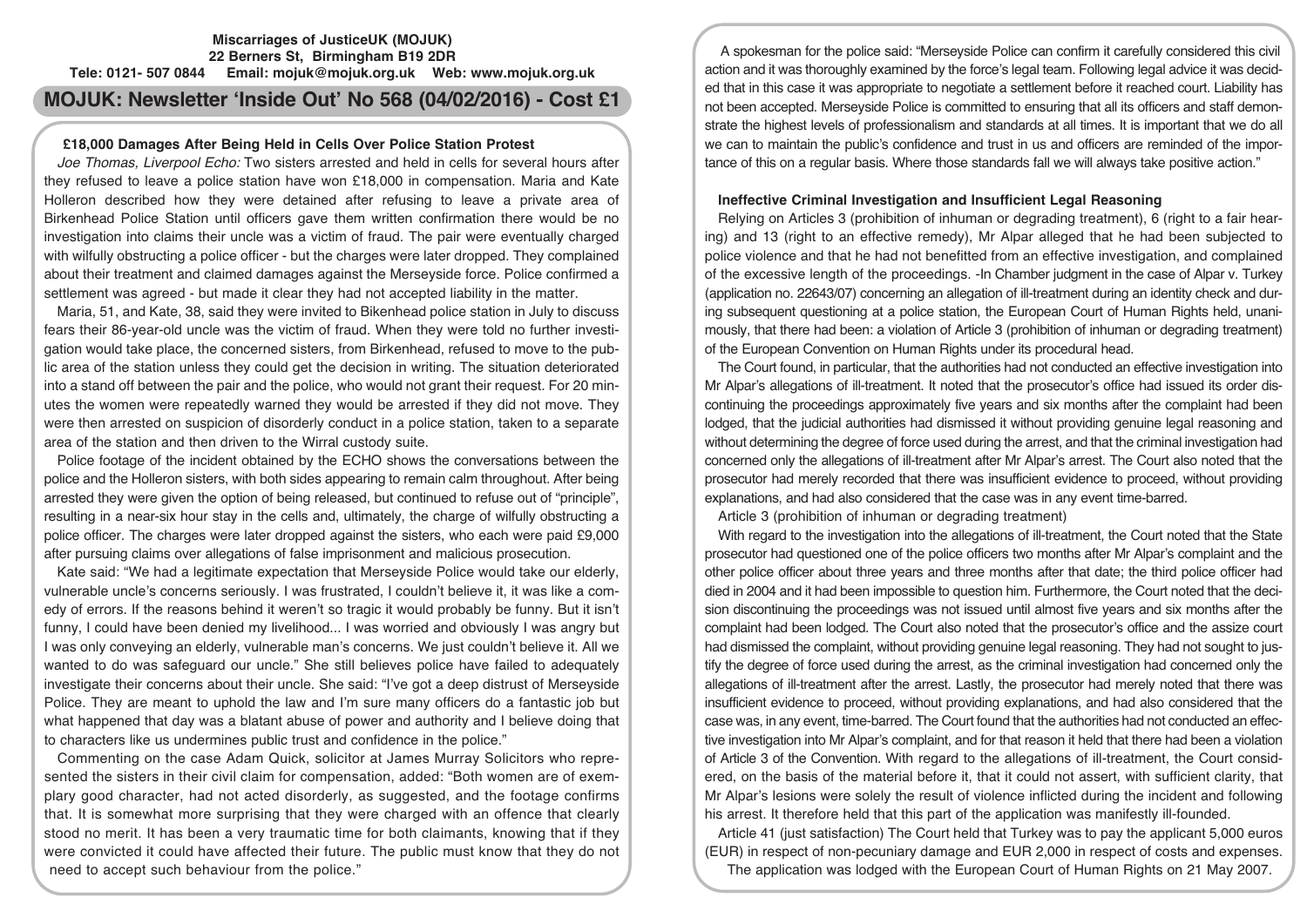## **Miscarriages of JusticeUK (MOJUK) 22 Berners St, Birmingham B19 2DR Tele: 0121- 507 0844 Email: mojuk@mojuk.org.uk Web: www.mojuk.org.uk**

# **MOJUK: Newsletter 'Inside Out' No 568 (04/02/2016) - Cost £1**

## **£18,000 Damages After Being Held in Cells Over Police Station Protest**

*Joe Thomas, Liverpool Echo:* Two sisters arrested and held in cells for several hours after they refused to leave a police station have won £18,000 in compensation. Maria and Kate Holleron described how they were detained after refusing to leave a private area of Birkenhead Police Station until officers gave them written confirmation there would be no investigation into claims their uncle was a victim of fraud. The pair were eventually charged with wilfully obstructing a police officer - but the charges were later dropped. They complained about their treatment and claimed damages against the Merseyside force. Police confirmed a settlement was agreed - but made it clear they had not accepted liability in the matter.

Maria, 51, and Kate, 38, said they were invited to Bikenhead police station in July to discuss fears their 86-year-old uncle was the victim of fraud. When they were told no further investigation would take place, the concerned sisters, from Birkenhead, refused to move to the public area of the station unless they could get the decision in writing. The situation deteriorated into a stand off between the pair and the police, who would not grant their request. For 20 minutes the women were repeatedly warned they would be arrested if they did not move. They were then arrested on suspicion of disorderly conduct in a police station, taken to a separate area of the station and then driven to the Wirral custody suite.

Police footage of the incident obtained by the ECHO shows the conversations between the police and the Holleron sisters, with both sides appearing to remain calm throughout. After being arrested they were given the option of being released, but continued to refuse out of "principle", resulting in a near-six hour stay in the cells and, ultimately, the charge of wilfully obstructing a police officer. The charges were later dropped against the sisters, who each were paid £9,000 after pursuing claims over allegations of false imprisonment and malicious prosecution.

Kate said: "We had a legitimate expectation that Merseyside Police would take our elderly, vulnerable uncle's concerns seriously. I was frustrated, I couldn't believe it, it was like a comedy of errors. If the reasons behind it weren't so tragic it would probably be funny. But it isn't funny, I could have been denied my livelihood... I was worried and obviously I was angry but I was only conveying an elderly, vulnerable man's concerns. We just couldn't believe it. All we wanted to do was safeguard our uncle." She still believes police have failed to adequately investigate their concerns about their uncle. She said: "I've got a deep distrust of Merseyside Police. They are meant to uphold the law and I'm sure many officers do a fantastic job but what happened that day was a blatant abuse of power and authority and I believe doing that to characters like us undermines public trust and confidence in the police."

Commenting on the case Adam Quick, solicitor at James Murray Solicitors who represented the sisters in their civil claim for compensation, added: "Both women are of exemplary good character, had not acted disorderly, as suggested, and the footage confirms that. It is somewhat more surprising that they were charged with an offence that clearly stood no merit. It has been a very traumatic time for both claimants, knowing that if they were convicted it could have affected their future. The public must know that they do not need to accept such behaviour from the police."

A spokesman for the police said: "Merseyside Police can confirm it carefully considered this civil action and it was thoroughly examined by the force's legal team. Following legal advice it was decided that in this case it was appropriate to negotiate a settlement before it reached court. Liability has not been accepted. Merseyside Police is committed to ensuring that all its officers and staff demonstrate the highest levels of professionalism and standards at all times. It is important that we do all we can to maintain the public's confidence and trust in us and officers are reminded of the importance of this on a regular basis. Where those standards fall we will always take positive action."

## **Ineffective Criminal Investigation and Insufficient Legal Reasoning**

Relying on Articles 3 (prohibition of inhuman or degrading treatment), 6 (right to a fair hearing) and 13 (right to an effective remedy), Mr Alpar alleged that he had been subjected to police violence and that he had not benefitted from an effective investigation, and complained of the excessive length of the proceedings. -In Chamber judgment in the case of Alpar v. Turkey (application no. 22643/07) concerning an allegation of ill-treatment during an identity check and during subsequent questioning at a police station, the European Court of Human Rights held, unanimously, that there had been: a violation of Article 3 (prohibition of inhuman or degrading treatment) of the European Convention on Human Rights under its procedural head.

The Court found, in particular, that the authorities had not conducted an effective investigation into Mr Alpar's allegations of ill-treatment. It noted that the prosecutor's office had issued its order discontinuing the proceedings approximately five years and six months after the complaint had been lodged, that the judicial authorities had dismissed it without providing genuine legal reasoning and without determining the degree of force used during the arrest, and that the criminal investigation had concerned only the allegations of ill-treatment after Mr Alpar's arrest. The Court also noted that the prosecutor had merely recorded that there was insufficient evidence to proceed, without providing explanations, and had also considered that the case was in any event time-barred.

Article 3 (prohibition of inhuman or degrading treatment)

With regard to the investigation into the allegations of ill-treatment, the Court noted that the State prosecutor had questioned one of the police officers two months after Mr Alpar's complaint and the other police officer about three years and three months after that date; the third police officer had died in 2004 and it had been impossible to question him. Furthermore, the Court noted that the decision discontinuing the proceedings was not issued until almost five years and six months after the complaint had been lodged. The Court also noted that the prosecutor's office and the assize court had dismissed the complaint, without providing genuine legal reasoning. They had not sought to justify the degree of force used during the arrest, as the criminal investigation had concerned only the allegations of ill-treatment after the arrest. Lastly, the prosecutor had merely noted that there was insufficient evidence to proceed, without providing explanations, and had also considered that the case was, in any event, time-barred. The Court found that the authorities had not conducted an effective investigation into Mr Alpar's complaint, and for that reason it held that there had been a violation of Article 3 of the Convention. With regard to the allegations of ill-treatment, the Court considered, on the basis of the material before it, that it could not assert, with sufficient clarity, that Mr Alpar's lesions were solely the result of violence inflicted during the incident and following his arrest. It therefore held that this part of the application was manifestly ill-founded.

Article 41 (just satisfaction) The Court held that Turkey was to pay the applicant 5,000 euros (EUR) in respect of non-pecuniary damage and EUR 2,000 in respect of costs and expenses.

The application was lodged with the European Court of Human Rights on 21 May 2007.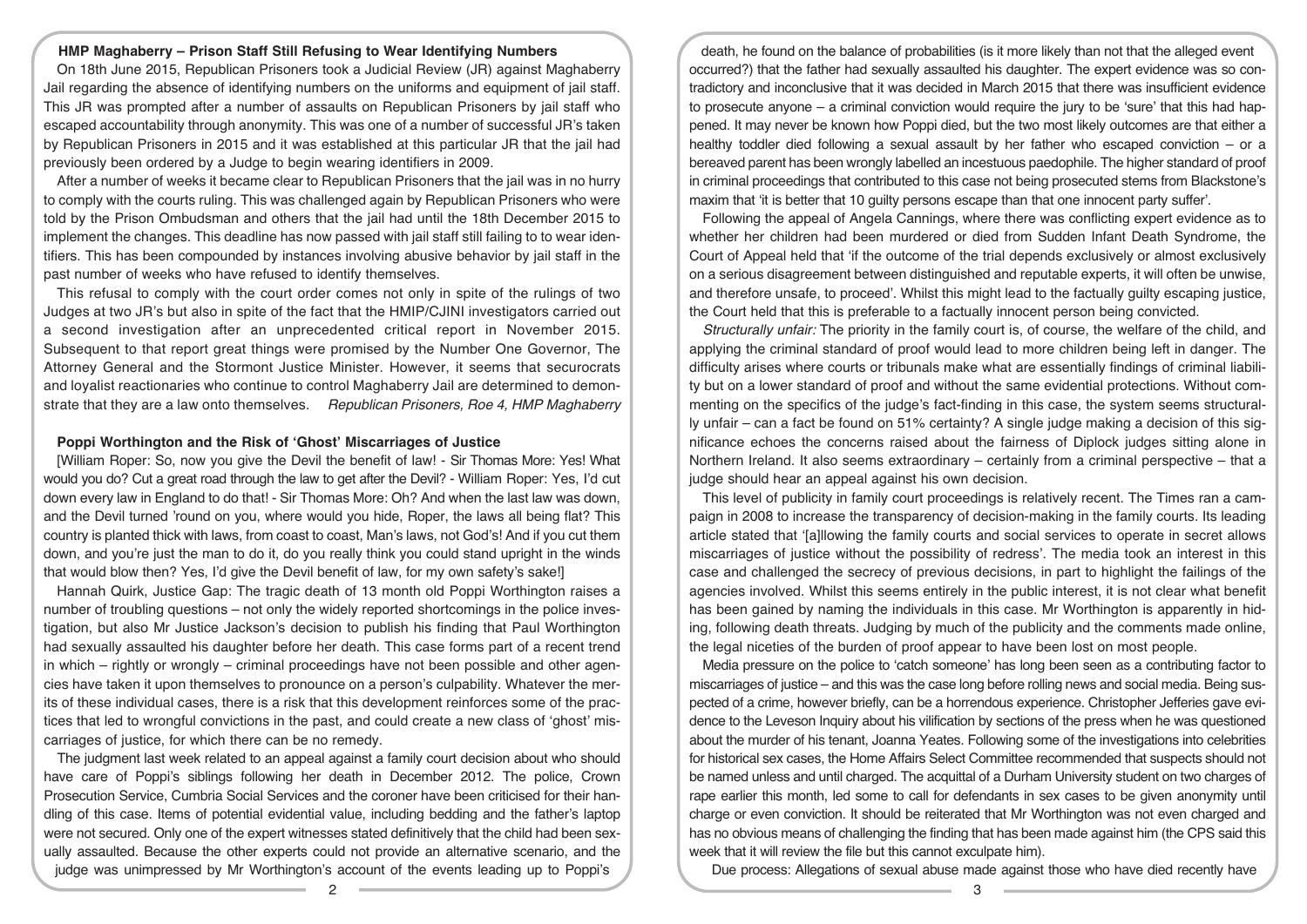## **HMP Maghaberry – Prison Staff Still Refusing to Wear Identifying Numbers**

On 18th June 2015, Republican Prisoners took a Judicial Review (JR) against Maghaberry Jail regarding the absence of identifying numbers on the uniforms and equipment of jail staff. This JR was prompted after a number of assaults on Republican Prisoners by jail staff who escaped accountability through anonymity. This was one of a number of successful JR's taken by Republican Prisoners in 2015 and it was established at this particular JR that the jail had previously been ordered by a Judge to begin wearing identifiers in 2009.

After a number of weeks it became clear to Republican Prisoners that the jail was in no hurry to comply with the courts ruling. This was challenged again by Republican Prisoners who were told by the Prison Ombudsman and others that the jail had until the 18th December 2015 to implement the changes. This deadline has now passed with jail staff still failing to to wear identifiers. This has been compounded by instances involving abusive behavior by jail staff in the past number of weeks who have refused to identify themselves.

This refusal to comply with the court order comes not only in spite of the rulings of two Judges at two JR's but also in spite of the fact that the HMIP/CJINI investigators carried out a second investigation after an unprecedented critical report in November 2015. Subsequent to that report great things were promised by the Number One Governor, The Attorney General and the Stormont Justice Minister. However, it seems that securocrats and loyalist reactionaries who continue to control Maghaberry Jail are determined to demonstrate that they are a law onto themselves. *Republican Prisoners, Roe 4, HMP Maghaberry*

#### **Poppi Worthington and the Risk of 'Ghost' Miscarriages of Justice**

[William Roper: So, now you give the Devil the benefit of law! - Sir Thomas More: Yes! What would you do? Cut a great road through the law to get after the Devil? - William Roper: Yes, I'd cut down every law in England to do that! - Sir Thomas More: Oh? And when the last law was down, and the Devil turned 'round on you, where would you hide, Roper, the laws all being flat? This country is planted thick with laws, from coast to coast, Man's laws, not God's! And if you cut them down, and you're just the man to do it, do you really think you could stand upright in the winds that would blow then? Yes, I'd give the Devil benefit of law, for my own safety's sake!]

Hannah Quirk, Justice Gap: The tragic death of 13 month old Poppi Worthington raises a number of troubling questions – not only the widely reported shortcomings in the police investigation, but also Mr Justice Jackson's decision to publish his finding that Paul Worthington had sexually assaulted his daughter before her death. This case forms part of a recent trend in which – rightly or wrongly – criminal proceedings have not been possible and other agencies have taken it upon themselves to pronounce on a person's culpability. Whatever the merits of these individual cases, there is a risk that this development reinforces some of the practices that led to wrongful convictions in the past, and could create a new class of 'ghost' miscarriages of justice, for which there can be no remedy.

The judgment last week related to an appeal against a family court decision about who should have care of Poppi's siblings following her death in December 2012. The police, Crown Prosecution Service, Cumbria Social Services and the coroner have been criticised for their handling of this case. Items of potential evidential value, including bedding and the father's laptop were not secured. Only one of the expert witnesses stated definitively that the child had been sexually assaulted. Because the other experts could not provide an alternative scenario, and the judge was unimpressed by Mr Worthington's account of the events leading up to Poppi's

death, he found on the balance of probabilities (is it more likely than not that the alleged event occurred?) that the father had sexually assaulted his daughter. The expert evidence was so contradictory and inconclusive that it was decided in March 2015 that there was insufficient evidence to prosecute anyone – a criminal conviction would require the jury to be 'sure' that this had happened. It may never be known how Poppi died, but the two most likely outcomes are that either a healthy toddler died following a sexual assault by her father who escaped conviction – or a bereaved parent has been wrongly labelled an incestuous paedophile. The higher standard of proof in criminal proceedings that contributed to this case not being prosecuted stems from Blackstone's maxim that 'it is better that 10 guilty persons escape than that one innocent party suffer'.

Following the appeal of Angela Cannings, where there was conflicting expert evidence as to whether her children had been murdered or died from Sudden Infant Death Syndrome, the Court of Appeal held that 'if the outcome of the trial depends exclusively or almost exclusively on a serious disagreement between distinguished and reputable experts, it will often be unwise, and therefore unsafe, to proceed'. Whilst this might lead to the factually guilty escaping justice, the Court held that this is preferable to a factually innocent person being convicted.

*Structurally unfair:* The priority in the family court is, of course, the welfare of the child, and applying the criminal standard of proof would lead to more children being left in danger. The difficulty arises where courts or tribunals make what are essentially findings of criminal liability but on a lower standard of proof and without the same evidential protections. Without commenting on the specifics of the judge's fact-finding in this case, the system seems structurally unfair – can a fact be found on 51% certainty? A single judge making a decision of this significance echoes the concerns raised about the fairness of Diplock judges sitting alone in Northern Ireland. It also seems extraordinary – certainly from a criminal perspective – that a judge should hear an appeal against his own decision.

This level of publicity in family court proceedings is relatively recent. The Times ran a campaign in 2008 to increase the transparency of decision-making in the family courts. Its leading article stated that '[a]llowing the family courts and social services to operate in secret allows miscarriages of justice without the possibility of redress'. The media took an interest in this case and challenged the secrecy of previous decisions, in part to highlight the failings of the agencies involved. Whilst this seems entirely in the public interest, it is not clear what benefit has been gained by naming the individuals in this case. Mr Worthington is apparently in hiding, following death threats. Judging by much of the publicity and the comments made online, the legal niceties of the burden of proof appear to have been lost on most people.

Media pressure on the police to 'catch someone' has long been seen as a contributing factor to miscarriages of justice – and this was the case long before rolling news and social media. Being suspected of a crime, however briefly, can be a horrendous experience. Christopher Jefferies gave evidence to the Leveson Inquiry about his vilification by sections of the press when he was questioned about the murder of his tenant, Joanna Yeates. Following some of the investigations into celebrities for historical sex cases, the Home Affairs Select Committee recommended that suspects should not be named unless and until charged. The acquittal of a Durham University student on two charges of rape earlier this month, led some to call for defendants in sex cases to be given anonymity until charge or even conviction. It should be reiterated that Mr Worthington was not even charged and has no obvious means of challenging the finding that has been made against him (the CPS said this week that it will review the file but this cannot exculpate him).

Due process: Allegations of sexual abuse made against those who have died recently have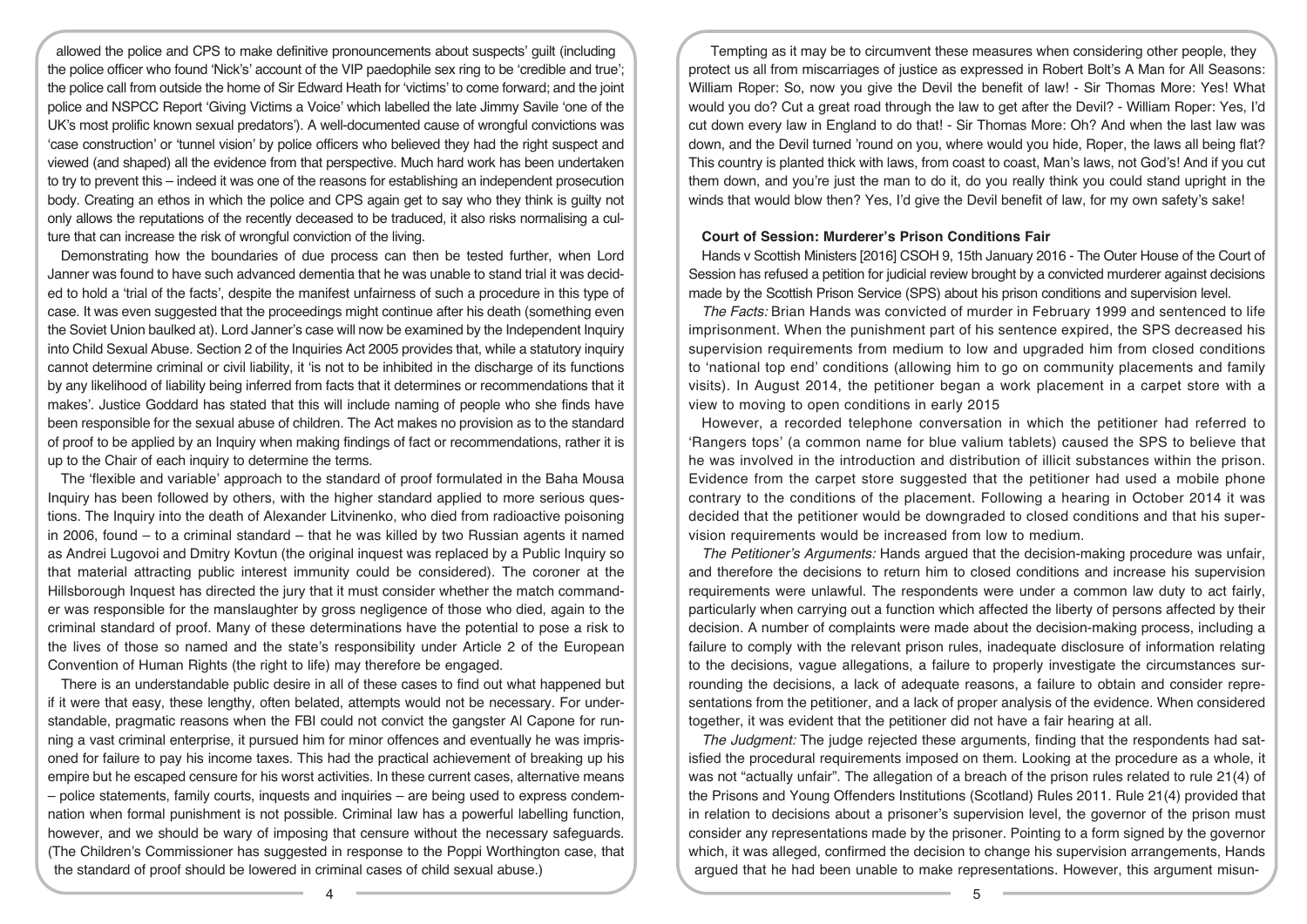allowed the police and CPS to make definitive pronouncements about suspects' guilt (including the police officer who found 'Nick's' account of the VIP paedophile sex ring to be 'credible and true'; the police call from outside the home of Sir Edward Heath for 'victims' to come forward; and the joint police and NSPCC Report 'Giving Victims a Voice' which labelled the late Jimmy Savile 'one of the UK's most prolific known sexual predators'). A well-documented cause of wrongful convictions was 'case construction' or 'tunnel vision' by police officers who believed they had the right suspect and viewed (and shaped) all the evidence from that perspective. Much hard work has been undertaken to try to prevent this – indeed it was one of the reasons for establishing an independent prosecution body. Creating an ethos in which the police and CPS again get to say who they think is guilty not only allows the reputations of the recently deceased to be traduced, it also risks normalising a culture that can increase the risk of wrongful conviction of the living.

Demonstrating how the boundaries of due process can then be tested further, when Lord Janner was found to have such advanced dementia that he was unable to stand trial it was decided to hold a 'trial of the facts', despite the manifest unfairness of such a procedure in this type of case. It was even suggested that the proceedings might continue after his death (something even the Soviet Union baulked at). Lord Janner's case will now be examined by the Independent Inquiry into Child Sexual Abuse. Section 2 of the Inquiries Act 2005 provides that, while a statutory inquiry cannot determine criminal or civil liability, it 'is not to be inhibited in the discharge of its functions by any likelihood of liability being inferred from facts that it determines or recommendations that it makes'. Justice Goddard has stated that this will include naming of people who she finds have been responsible for the sexual abuse of children. The Act makes no provision as to the standard of proof to be applied by an Inquiry when making findings of fact or recommendations, rather it is up to the Chair of each inquiry to determine the terms.

The 'flexible and variable' approach to the standard of proof formulated in the Baha Mousa Inquiry has been followed by others, with the higher standard applied to more serious questions. The Inquiry into the death of Alexander Litvinenko, who died from radioactive poisoning in 2006, found – to a criminal standard – that he was killed by two Russian agents it named as Andrei Lugovoi and Dmitry Kovtun (the original inquest was replaced by a Public Inquiry so that material attracting public interest immunity could be considered). The coroner at the Hillsborough Inquest has directed the jury that it must consider whether the match commander was responsible for the manslaughter by gross negligence of those who died, again to the criminal standard of proof. Many of these determinations have the potential to pose a risk to the lives of those so named and the state's responsibility under Article 2 of the European Convention of Human Rights (the right to life) may therefore be engaged.

There is an understandable public desire in all of these cases to find out what happened but if it were that easy, these lengthy, often belated, attempts would not be necessary. For understandable, pragmatic reasons when the FBI could not convict the gangster Al Capone for running a vast criminal enterprise, it pursued him for minor offences and eventually he was imprisoned for failure to pay his income taxes. This had the practical achievement of breaking up his empire but he escaped censure for his worst activities. In these current cases, alternative means – police statements, family courts, inquests and inquiries – are being used to express condemnation when formal punishment is not possible. Criminal law has a powerful labelling function, however, and we should be wary of imposing that censure without the necessary safeguards. (The Children's Commissioner has suggested in response to the Poppi Worthington case, that the standard of proof should be lowered in criminal cases of child sexual abuse.)

Tempting as it may be to circumvent these measures when considering other people, they protect us all from miscarriages of justice as expressed in Robert Bolt's A Man for All Seasons: William Roper: So, now you give the Devil the benefit of law! - Sir Thomas More: Yes! What would you do? Cut a great road through the law to get after the Devil? - William Roper: Yes, I'd cut down every law in England to do that! - Sir Thomas More: Oh? And when the last law was down, and the Devil turned 'round on you, where would you hide, Roper, the laws all being flat? This country is planted thick with laws, from coast to coast, Man's laws, not God's! And if you cut them down, and you're just the man to do it, do you really think you could stand upright in the winds that would blow then? Yes, I'd give the Devil benefit of law, for my own safety's sake!

## **Court of Session: Murderer's Prison Conditions Fair**

Hands v Scottish Ministers [2016] CSOH 9, 15th January 2016 - The Outer House of the Court of Session has refused a petition for judicial review brought by a convicted murderer against decisions made by the Scottish Prison Service (SPS) about his prison conditions and supervision level.

*The Facts:* Brian Hands was convicted of murder in February 1999 and sentenced to life imprisonment. When the punishment part of his sentence expired, the SPS decreased his supervision requirements from medium to low and upgraded him from closed conditions to 'national top end' conditions (allowing him to go on community placements and family visits). In August 2014, the petitioner began a work placement in a carpet store with a view to moving to open conditions in early 2015

However, a recorded telephone conversation in which the petitioner had referred to 'Rangers tops' (a common name for blue valium tablets) caused the SPS to believe that he was involved in the introduction and distribution of illicit substances within the prison. Evidence from the carpet store suggested that the petitioner had used a mobile phone contrary to the conditions of the placement. Following a hearing in October 2014 it was decided that the petitioner would be downgraded to closed conditions and that his supervision requirements would be increased from low to medium.

*The Petitioner's Arguments:* Hands argued that the decision-making procedure was unfair, and therefore the decisions to return him to closed conditions and increase his supervision requirements were unlawful. The respondents were under a common law duty to act fairly, particularly when carrying out a function which affected the liberty of persons affected by their decision. A number of complaints were made about the decision-making process, including a failure to comply with the relevant prison rules, inadequate disclosure of information relating to the decisions, vague allegations, a failure to properly investigate the circumstances surrounding the decisions, a lack of adequate reasons, a failure to obtain and consider representations from the petitioner, and a lack of proper analysis of the evidence. When considered together, it was evident that the petitioner did not have a fair hearing at all.

*The Judgment:* The judge rejected these arguments, finding that the respondents had satisfied the procedural requirements imposed on them. Looking at the procedure as a whole, it was not "actually unfair". The allegation of a breach of the prison rules related to rule 21(4) of the Prisons and Young Offenders Institutions (Scotland) Rules 2011. Rule 21(4) provided that in relation to decisions about a prisoner's supervision level, the governor of the prison must consider any representations made by the prisoner. Pointing to a form signed by the governor which, it was alleged, confirmed the decision to change his supervision arrangements, Hands argued that he had been unable to make representations. However, this argument misun-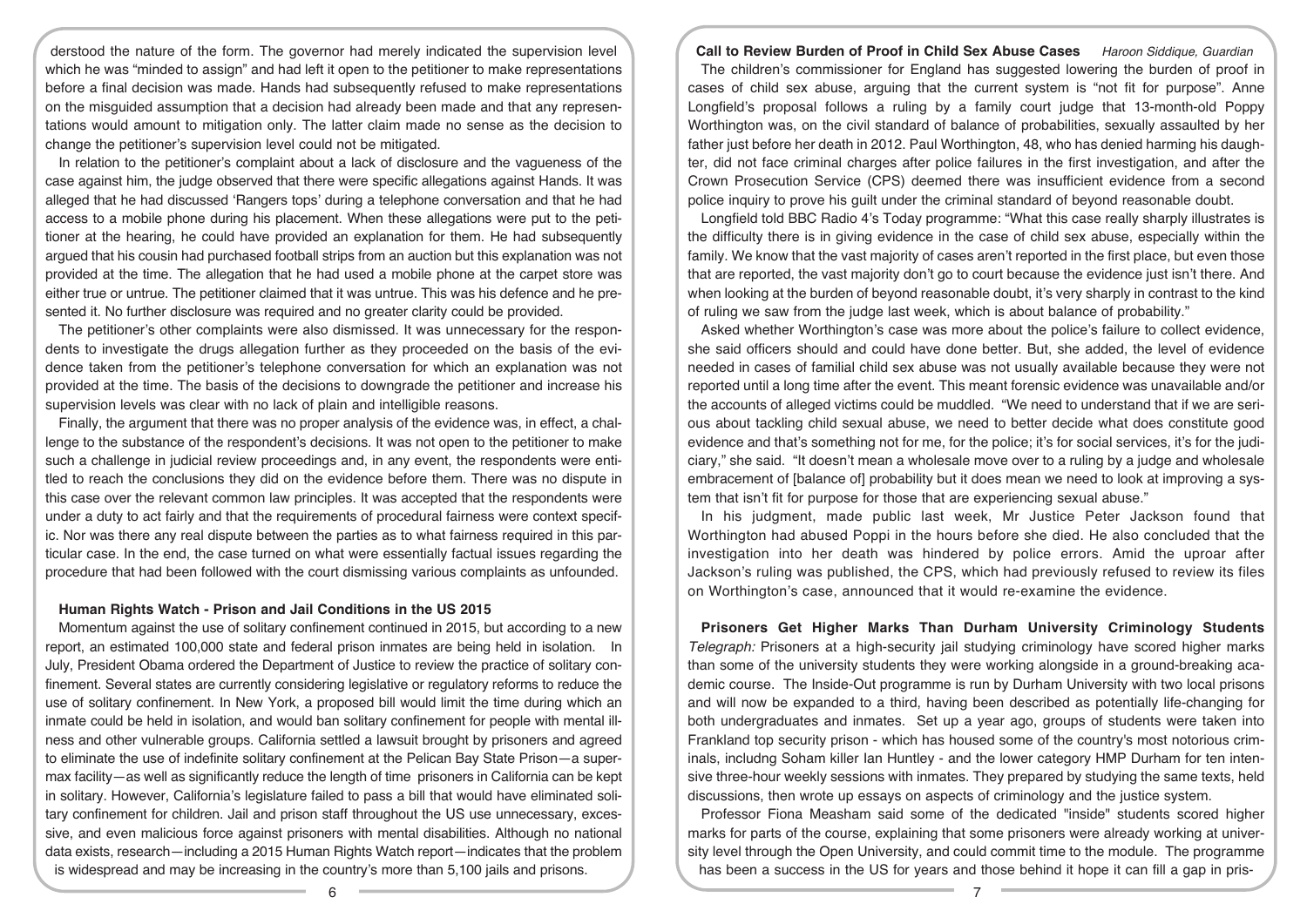derstood the nature of the form. The governor had merely indicated the supervision level which he was "minded to assign" and had left it open to the petitioner to make representations before a final decision was made. Hands had subsequently refused to make representations on the misguided assumption that a decision had already been made and that any representations would amount to mitigation only. The latter claim made no sense as the decision to change the petitioner's supervision level could not be mitigated.

In relation to the petitioner's complaint about a lack of disclosure and the vagueness of the case against him, the judge observed that there were specific allegations against Hands. It was alleged that he had discussed 'Rangers tops' during a telephone conversation and that he had access to a mobile phone during his placement. When these allegations were put to the petitioner at the hearing, he could have provided an explanation for them. He had subsequently argued that his cousin had purchased football strips from an auction but this explanation was not provided at the time. The allegation that he had used a mobile phone at the carpet store was either true or untrue. The petitioner claimed that it was untrue. This was his defence and he presented it. No further disclosure was required and no greater clarity could be provided.

The petitioner's other complaints were also dismissed. It was unnecessary for the respondents to investigate the drugs allegation further as they proceeded on the basis of the evidence taken from the petitioner's telephone conversation for which an explanation was not provided at the time. The basis of the decisions to downgrade the petitioner and increase his supervision levels was clear with no lack of plain and intelligible reasons.

Finally, the argument that there was no proper analysis of the evidence was, in effect, a challenge to the substance of the respondent's decisions. It was not open to the petitioner to make such a challenge in judicial review proceedings and, in any event, the respondents were entitled to reach the conclusions they did on the evidence before them. There was no dispute in this case over the relevant common law principles. It was accepted that the respondents were under a duty to act fairly and that the requirements of procedural fairness were context specific. Nor was there any real dispute between the parties as to what fairness required in this particular case. In the end, the case turned on what were essentially factual issues regarding the procedure that had been followed with the court dismissing various complaints as unfounded.

## **Human Rights Watch - Prison and Jail Conditions in the US 2015**

Momentum against the use of solitary confinement continued in 2015, but according to a new report, an estimated 100,000 state and federal prison inmates are being held in isolation. In July, President Obama ordered the Department of Justice to review the practice of solitary confinement. Several states are currently considering legislative or regulatory reforms to reduce the use of solitary confinement. In New York, a proposed bill would limit the time during which an inmate could be held in isolation, and would ban solitary confinement for people with mental illness and other vulnerable groups. California settled a lawsuit brought by prisoners and agreed to eliminate the use of indefinite solitary confinement at the Pelican Bay State Prison—a supermax facility—as well as significantly reduce the length of time prisoners in California can be kept in solitary. However, California's legislature failed to pass a bill that would have eliminated solitary confinement for children. Jail and prison staff throughout the US use unnecessary, excessive, and even malicious force against prisoners with mental disabilities. Although no national data exists, research—including a 2015 Human Rights Watch report—indicates that the problem is widespread and may be increasing in the country's more than 5,100 jails and prisons.

**Call to Review Burden of Proof in Child Sex Abuse Cases** *Haroon Siddique, Guardian* The children's commissioner for England has suggested lowering the burden of proof in cases of child sex abuse, arguing that the current system is "not fit for purpose". Anne Longfield's proposal follows a ruling by a family court judge that 13-month-old Poppy Worthington was, on the civil standard of balance of probabilities, sexually assaulted by her father just before her death in 2012. Paul Worthington, 48, who has denied harming his daughter, did not face criminal charges after police failures in the first investigation, and after the Crown Prosecution Service (CPS) deemed there was insufficient evidence from a second police inquiry to prove his guilt under the criminal standard of beyond reasonable doubt.

Longfield told BBC Radio 4's Today programme: "What this case really sharply illustrates is the difficulty there is in giving evidence in the case of child sex abuse, especially within the family. We know that the vast majority of cases aren't reported in the first place, but even those that are reported, the vast majority don't go to court because the evidence just isn't there. And when looking at the burden of beyond reasonable doubt, it's very sharply in contrast to the kind of ruling we saw from the judge last week, which is about balance of probability."

Asked whether Worthington's case was more about the police's failure to collect evidence, she said officers should and could have done better. But, she added, the level of evidence needed in cases of familial child sex abuse was not usually available because they were not reported until a long time after the event. This meant forensic evidence was unavailable and/or the accounts of alleged victims could be muddled. "We need to understand that if we are serious about tackling child sexual abuse, we need to better decide what does constitute good evidence and that's something not for me, for the police; it's for social services, it's for the judiciary," she said. "It doesn't mean a wholesale move over to a ruling by a judge and wholesale embracement of [balance of] probability but it does mean we need to look at improving a system that isn't fit for purpose for those that are experiencing sexual abuse."

In his judgment, made public last week, Mr Justice Peter Jackson found that Worthington had abused Poppi in the hours before she died. He also concluded that the investigation into her death was hindered by police errors. Amid the uproar after Jackson's ruling was published, the CPS, which had previously refused to review its files on Worthington's case, announced that it would re-examine the evidence.

**Prisoners Get Higher Marks Than Durham University Criminology Students** *Telegraph:* Prisoners at a high-security jail studying criminology have scored higher marks than some of the university students they were working alongside in a ground-breaking academic course. The Inside-Out programme is run by Durham University with two local prisons and will now be expanded to a third, having been described as potentially life-changing for both undergraduates and inmates. Set up a year ago, groups of students were taken into Frankland top security prison - which has housed some of the country's most notorious criminals, includng Soham killer Ian Huntley - and the lower category HMP Durham for ten intensive three-hour weekly sessions with inmates. They prepared by studying the same texts, held discussions, then wrote up essays on aspects of criminology and the justice system.

Professor Fiona Measham said some of the dedicated "inside" students scored higher marks for parts of the course, explaining that some prisoners were already working at university level through the Open University, and could commit time to the module. The programme has been a success in the US for years and those behind it hope it can fill a gap in pris-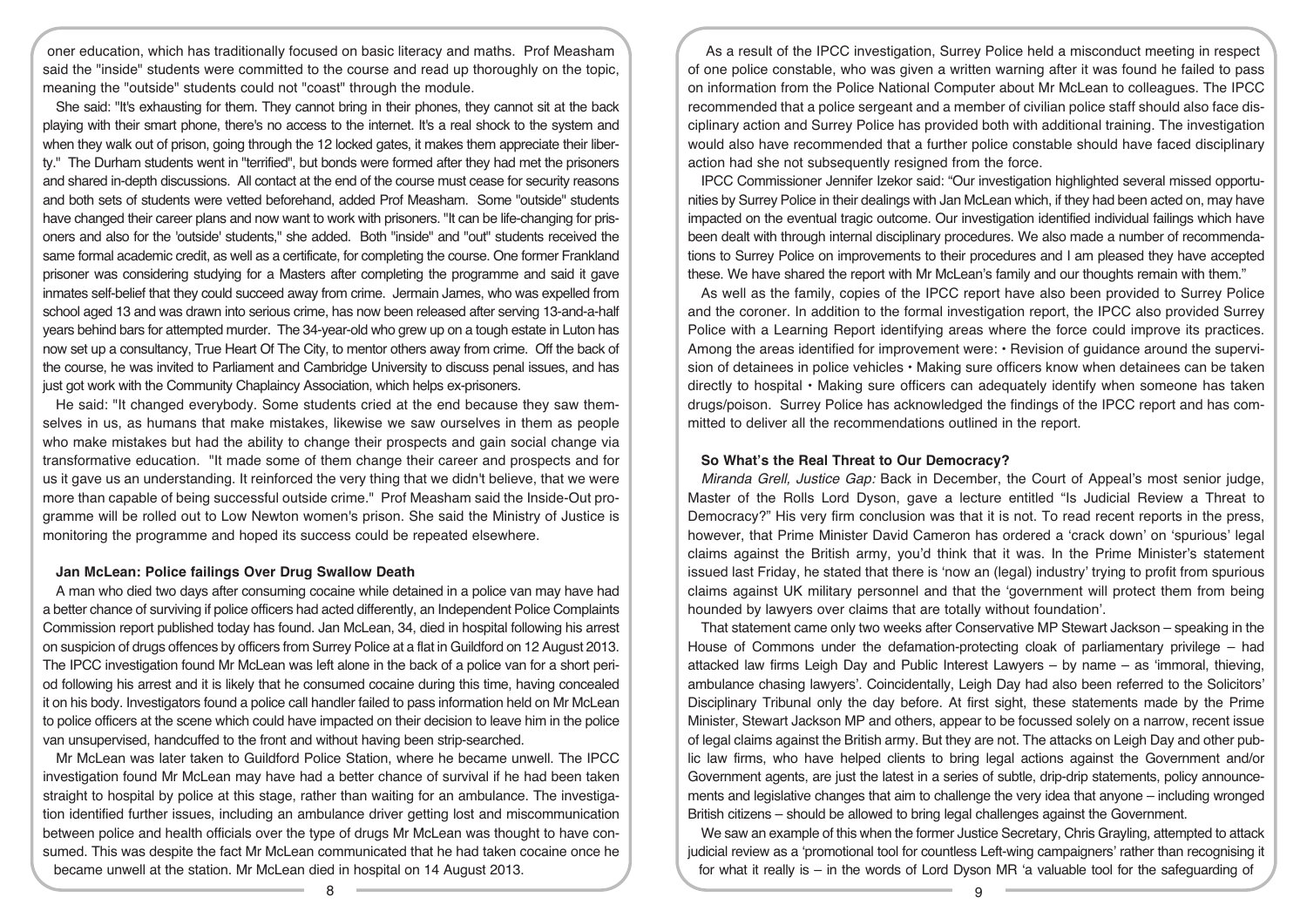oner education, which has traditionally focused on basic literacy and maths. Prof Measham said the "inside" students were committed to the course and read up thoroughly on the topic, meaning the "outside" students could not "coast" through the module.

She said: "It's exhausting for them. They cannot bring in their phones, they cannot sit at the back playing with their smart phone, there's no access to the internet. It's a real shock to the system and when they walk out of prison, going through the 12 locked gates, it makes them appreciate their liberty." The Durham students went in "terrified", but bonds were formed after they had met the prisoners and shared in-depth discussions. All contact at the end of the course must cease for security reasons and both sets of students were vetted beforehand, added Prof Measham. Some "outside" students have changed their career plans and now want to work with prisoners. "It can be life-changing for prisoners and also for the 'outside' students," she added. Both "inside" and "out" students received the same formal academic credit, as well as a certificate, for completing the course. One former Frankland prisoner was considering studying for a Masters after completing the programme and said it gave inmates self-belief that they could succeed away from crime. Jermain James, who was expelled from school aged 13 and was drawn into serious crime, has now been released after serving 13-and-a-half years behind bars for attempted murder. The 34-year-old who grew up on a tough estate in Luton has now set up a consultancy, True Heart Of The City, to mentor others away from crime. Off the back of the course, he was invited to Parliament and Cambridge University to discuss penal issues, and has just got work with the Community Chaplaincy Association, which helps ex-prisoners.

He said: "It changed everybody. Some students cried at the end because they saw themselves in us, as humans that make mistakes, likewise we saw ourselves in them as people who make mistakes but had the ability to change their prospects and gain social change via transformative education. "It made some of them change their career and prospects and for us it gave us an understanding. It reinforced the very thing that we didn't believe, that we were more than capable of being successful outside crime." Prof Measham said the Inside-Out programme will be rolled out to Low Newton women's prison. She said the Ministry of Justice is monitoring the programme and hoped its success could be repeated elsewhere.

## **Jan McLean: Police failings Over Drug Swallow Death**

A man who died two days after consuming cocaine while detained in a police van may have had a better chance of surviving if police officers had acted differently, an Independent Police Complaints Commission report published today has found. Jan McLean, 34, died in hospital following his arrest on suspicion of drugs offences by officers from Surrey Police at a flat in Guildford on 12 August 2013. The IPCC investigation found Mr McLean was left alone in the back of a police van for a short period following his arrest and it is likely that he consumed cocaine during this time, having concealed it on his body. Investigators found a police call handler failed to pass information held on Mr McLean to police officers at the scene which could have impacted on their decision to leave him in the police van unsupervised, handcuffed to the front and without having been strip-searched.

Mr McLean was later taken to Guildford Police Station, where he became unwell. The IPCC investigation found Mr McLean may have had a better chance of survival if he had been taken straight to hospital by police at this stage, rather than waiting for an ambulance. The investigation identified further issues, including an ambulance driver getting lost and miscommunication between police and health officials over the type of drugs Mr McLean was thought to have consumed. This was despite the fact Mr McLean communicated that he had taken cocaine once he became unwell at the station. Mr McLean died in hospital on 14 August 2013.

As a result of the IPCC investigation, Surrey Police held a misconduct meeting in respect of one police constable, who was given a written warning after it was found he failed to pass on information from the Police National Computer about Mr McLean to colleagues. The IPCC recommended that a police sergeant and a member of civilian police staff should also face disciplinary action and Surrey Police has provided both with additional training. The investigation would also have recommended that a further police constable should have faced disciplinary action had she not subsequently resigned from the force.

IPCC Commissioner Jennifer Izekor said: "Our investigation highlighted several missed opportunities by Surrey Police in their dealings with Jan McLean which, if they had been acted on, may have impacted on the eventual tragic outcome. Our investigation identified individual failings which have been dealt with through internal disciplinary procedures. We also made a number of recommendations to Surrey Police on improvements to their procedures and I am pleased they have accepted these. We have shared the report with Mr McLean's family and our thoughts remain with them."

As well as the family, copies of the IPCC report have also been provided to Surrey Police and the coroner. In addition to the formal investigation report, the IPCC also provided Surrey Police with a Learning Report identifying areas where the force could improve its practices. Among the areas identified for improvement were: • Revision of guidance around the supervision of detainees in police vehicles  $\cdot$  Making sure officers know when detainees can be taken directly to hospital • Making sure officers can adequately identify when someone has taken drugs/poison. Surrey Police has acknowledged the findings of the IPCC report and has committed to deliver all the recommendations outlined in the report.

### **So What's the Real Threat to Our Democracy?**

*Miranda Grell, Justice Gap:* Back in December, the Court of Appeal's most senior judge, Master of the Rolls Lord Dyson, gave a lecture entitled "Is Judicial Review a Threat to Democracy?" His very firm conclusion was that it is not. To read recent reports in the press, however, that Prime Minister David Cameron has ordered a 'crack down' on 'spurious' legal claims against the British army, you'd think that it was. In the Prime Minister's statement issued last Friday, he stated that there is 'now an (legal) industry' trying to profit from spurious claims against UK military personnel and that the 'government will protect them from being hounded by lawyers over claims that are totally without foundation'.

That statement came only two weeks after Conservative MP Stewart Jackson – speaking in the House of Commons under the defamation-protecting cloak of parliamentary privilege – had attacked law firms Leigh Day and Public Interest Lawyers – by name – as 'immoral, thieving, ambulance chasing lawyers'. Coincidentally, Leigh Day had also been referred to the Solicitors' Disciplinary Tribunal only the day before. At first sight, these statements made by the Prime Minister, Stewart Jackson MP and others, appear to be focussed solely on a narrow, recent issue of legal claims against the British army. But they are not. The attacks on Leigh Day and other public law firms, who have helped clients to bring legal actions against the Government and/or Government agents, are just the latest in a series of subtle, drip-drip statements, policy announcements and legislative changes that aim to challenge the very idea that anyone – including wronged British citizens – should be allowed to bring legal challenges against the Government.

We saw an example of this when the former Justice Secretary, Chris Grayling, attempted to attack judicial review as a 'promotional tool for countless Left-wing campaigners' rather than recognising it for what it really is – in the words of Lord Dyson MR 'a valuable tool for the safeguarding of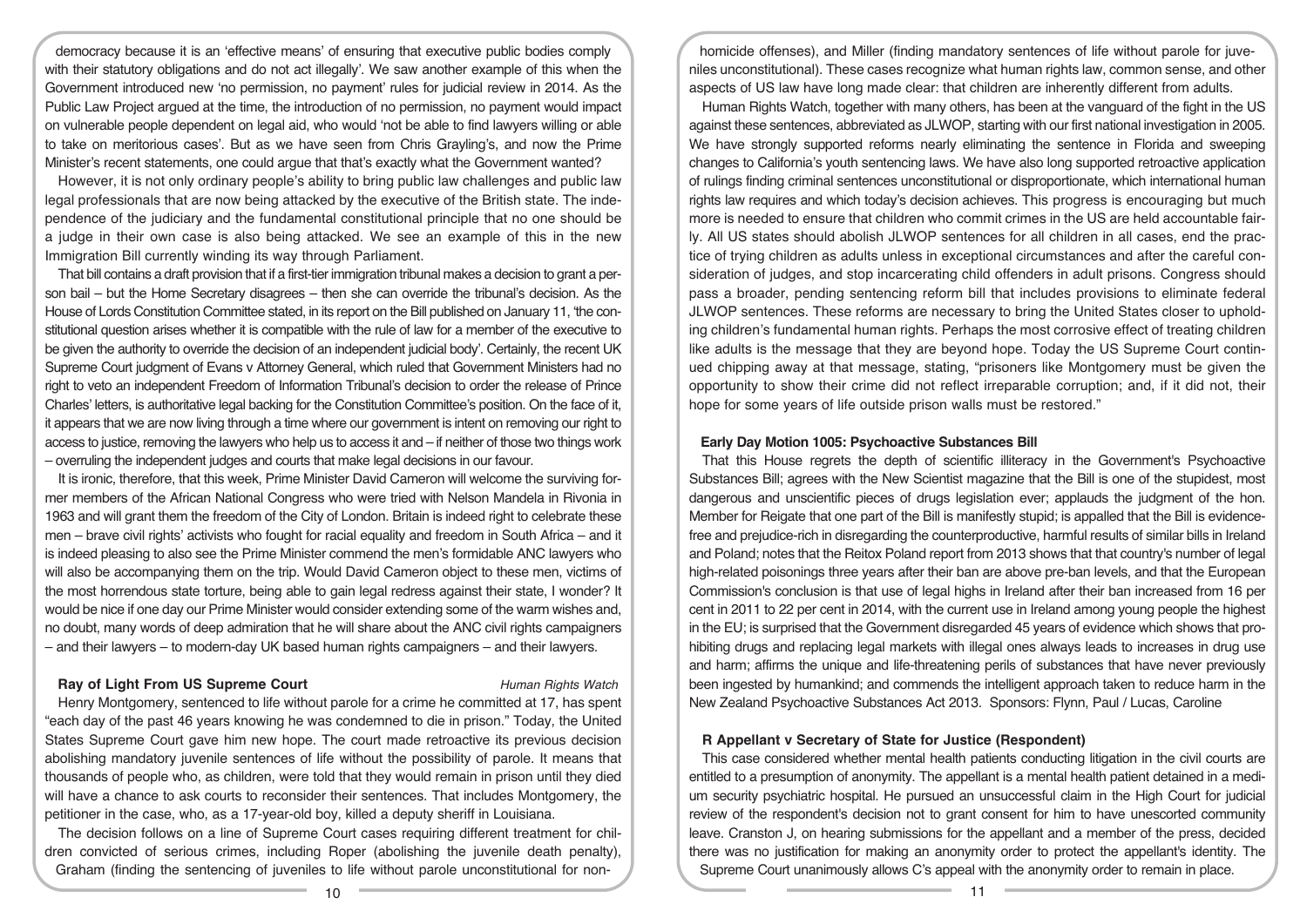democracy because it is an 'effective means' of ensuring that executive public bodies comply with their statutory obligations and do not act illegally'. We saw another example of this when the Government introduced new 'no permission, no payment' rules for judicial review in 2014. As the Public Law Project argued at the time, the introduction of no permission, no payment would impact on vulnerable people dependent on legal aid, who would 'not be able to find lawyers willing or able to take on meritorious cases'. But as we have seen from Chris Grayling's, and now the Prime Minister's recent statements, one could argue that that's exactly what the Government wanted?

However, it is not only ordinary people's ability to bring public law challenges and public law legal professionals that are now being attacked by the executive of the British state. The independence of the judiciary and the fundamental constitutional principle that no one should be a judge in their own case is also being attacked. We see an example of this in the new Immigration Bill currently winding its way through Parliament.

That bill contains a draft provision that if a first-tierimmigration tribunal makes a decision to grant a person bail – but the Home Secretary disagrees – then she can override the tribunal's decision. As the House of Lords Constitution Committee stated, in its report on the Bill published on January 11, 'the constitutional question arises whether it is compatible with the rule of law for a member of the executive to be given the authority to override the decision of an independent judicial body'. Certainly, the recent UK Supreme Court judgment of Evans v Attorney General, which ruled that Government Ministers had no right to veto an independent Freedom of Information Tribunal's decision to order the release of Prince Charles' letters, is authoritative legal backing for the Constitution Committee's position. On the face of it, it appears that we are now living through a time where our government is intent on removing our right to access to justice, removing the lawyers who help us to access it and – if neither of those two things work – overruling the independent judges and courts that make legal decisions in our favour.

It is ironic, therefore, that this week, Prime Minister David Cameron will welcome the surviving former members of the African National Congress who were tried with Nelson Mandela in Rivonia in 1963 and will grant them the freedom of the City of London. Britain is indeed right to celebrate these men – brave civil rights' activists who fought for racial equality and freedom in South Africa – and it is indeed pleasing to also see the Prime Minister commend the men's formidable ANC lawyers who will also be accompanying them on the trip. Would David Cameron object to these men, victims of the most horrendous state torture, being able to gain legal redress against their state, I wonder? It would be nice if one day our Prime Minister would consider extending some of the warm wishes and, no doubt, many words of deep admiration that he will share about the ANC civil rights campaigners – and their lawyers – to modern-day UK based human rights campaigners – and their lawyers.

## **Ray of Light From US Supreme Court** *Human Rights Watch*

Henry Montgomery, sentenced to life without parole for a crime he committed at 17, has spent "each day of the past 46 years knowing he was condemned to die in prison." Today, the United States Supreme Court gave him new hope. The court made retroactive its previous decision abolishing mandatory juvenile sentences of life without the possibility of parole. It means that thousands of people who, as children, were told that they would remain in prison until they died will have a chance to ask courts to reconsider their sentences. That includes Montgomery, the petitioner in the case, who, as a 17-year-old boy, killed a deputy sheriff in Louisiana.

The decision follows on a line of Supreme Court cases requiring different treatment for children convicted of serious crimes, including Roper (abolishing the juvenile death penalty), Graham (finding the sentencing of juveniles to life without parole unconstitutional for non-

homicide offenses), and Miller (finding mandatory sentences of life without parole for juveniles unconstitutional). These cases recognize what human rights law, common sense, and other aspects of US law have long made clear: that children are inherently different from adults.

Human Rights Watch, together with many others, has been at the vanguard of the fight in the US against these sentences, abbreviated as JLWOP, starting with our first national investigation in 2005. We have strongly supported reforms nearly eliminating the sentence in Florida and sweeping changes to California's youth sentencing laws. We have also long supported retroactive application of rulings finding criminal sentences unconstitutional or disproportionate, which international human rights law requires and which today's decision achieves. This progress is encouraging but much more is needed to ensure that children who commit crimes in the US are held accountable fairly. All US states should abolish JLWOP sentences for all children in all cases, end the practice of trying children as adults unless in exceptional circumstances and after the careful consideration of judges, and stop incarcerating child offenders in adult prisons. Congress should pass a broader, pending sentencing reform bill that includes provisions to eliminate federal JLWOP sentences. These reforms are necessary to bring the United States closer to upholding children's fundamental human rights. Perhaps the most corrosive effect of treating children like adults is the message that they are beyond hope. Today the US Supreme Court continued chipping away at that message, stating, "prisoners like Montgomery must be given the opportunity to show their crime did not reflect irreparable corruption; and, if it did not, their hope for some years of life outside prison walls must be restored."

### **Early Day Motion 1005: Psychoactive Substances Bill**

That this House regrets the depth of scientific illiteracy in the Government's Psychoactive Substances Bill; agrees with the New Scientist magazine that the Bill is one of the stupidest, most dangerous and unscientific pieces of drugs legislation ever; applauds the judgment of the hon. Member for Reigate that one part of the Bill is manifestly stupid; is appalled that the Bill is evidencefree and prejudice-rich in disregarding the counterproductive, harmful results of similar bills in Ireland and Poland; notes that the Reitox Poland report from 2013 shows that that country's number of legal high-related poisonings three years after their ban are above pre-ban levels, and that the European Commission's conclusion is that use of legal highs in Ireland after their ban increased from 16 per cent in 2011 to 22 per cent in 2014, with the current use in Ireland among young people the highest in the EU; is surprised that the Government disregarded 45 years of evidence which shows that prohibiting drugs and replacing legal markets with illegal ones always leads to increases in drug use and harm; affirms the unique and life-threatening perils of substances that have never previously been ingested by humankind; and commends the intelligent approach taken to reduce harm in the New Zealand Psychoactive Substances Act 2013. Sponsors: Flynn, Paul / Lucas, Caroline

#### **R Appellant v Secretary of State for Justice (Respondent)**

This case considered whether mental health patients conducting litigation in the civil courts are entitled to a presumption of anonymity. The appellant is a mental health patient detained in a medium security psychiatric hospital. He pursued an unsuccessful claim in the High Court for judicial review of the respondent's decision not to grant consent for him to have unescorted community leave. Cranston J, on hearing submissions for the appellant and a member of the press, decided there was no justification for making an anonymity order to protect the appellant's identity. The Supreme Court unanimously allows C's appeal with the anonymity order to remain in place.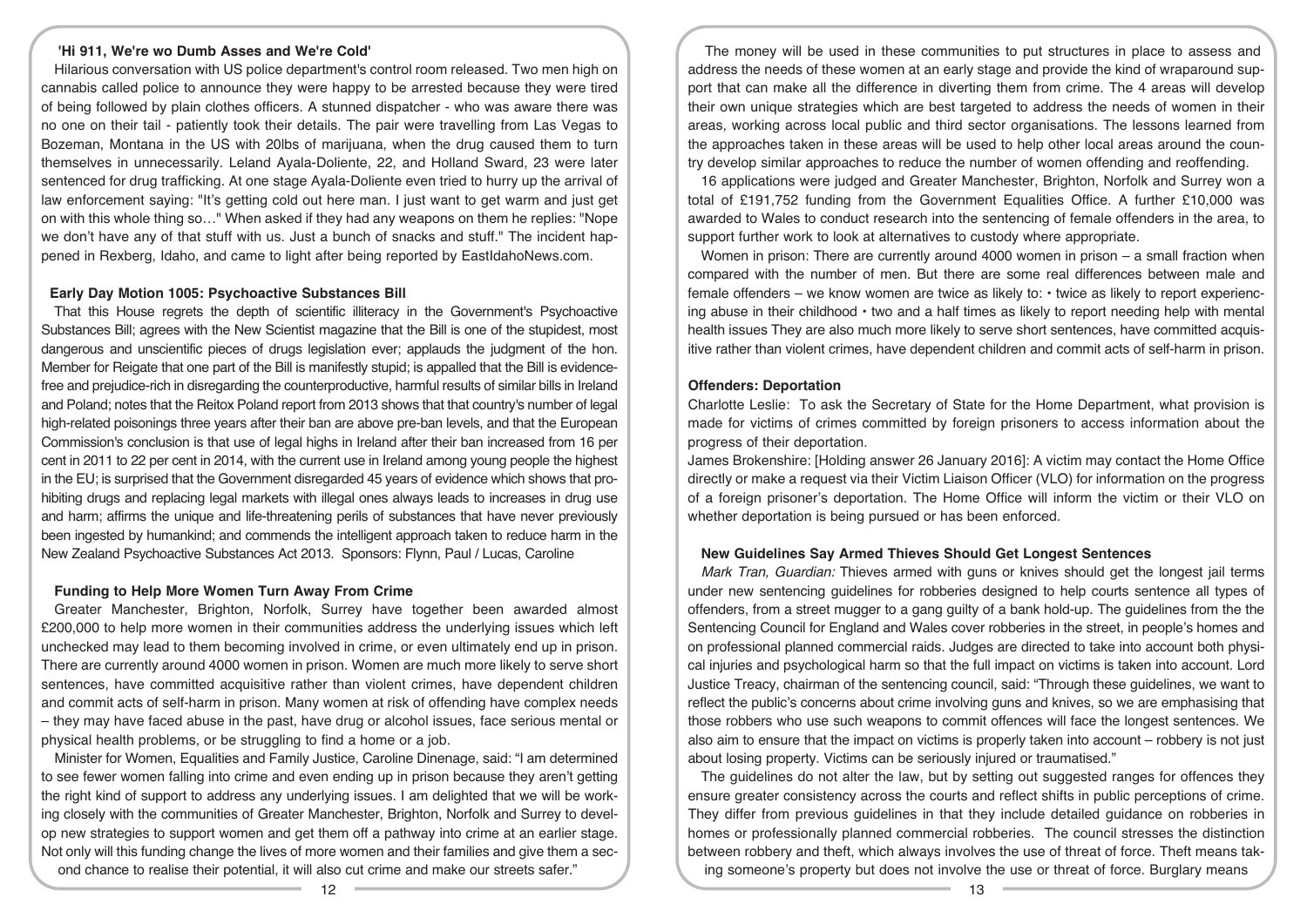## **'Hi 911, We're wo Dumb Asses and We're Cold'**

Hilarious conversation with US police department's control room released. Two men high on cannabis called police to announce they were happy to be arrested because they were tired of being followed by plain clothes officers. A stunned dispatcher - who was aware there was no one on their tail - patiently took their details. The pair were travelling from Las Vegas to Bozeman, Montana in the US with 20lbs of marijuana, when the drug caused them to turn themselves in unnecessarily. Leland Ayala-Doliente, 22, and Holland Sward, 23 were later sentenced for drug trafficking. At one stage Ayala-Doliente even tried to hurry up the arrival of law enforcement saying: "It's getting cold out here man. I just want to get warm and just get on with this whole thing so…" When asked if they had any weapons on them he replies: "Nope we don't have any of that stuff with us. Just a bunch of snacks and stuff." The incident happened in Rexberg, Idaho, and came to light after being reported by EastIdahoNews.com.

## **Early Day Motion 1005: Psychoactive Substances Bill**

That this House regrets the depth of scientific illiteracy in the Government's Psychoactive Substances Bill; agrees with the New Scientist magazine that the Bill is one of the stupidest, most dangerous and unscientific pieces of drugs legislation ever; applauds the judgment of the hon. Member for Reigate that one part of the Bill is manifestly stupid; is appalled that the Bill is evidencefree and prejudice-rich in disregarding the counterproductive, harmful results of similar bills in Ireland and Poland; notes that the Reitox Poland report from 2013 shows that that country's number of legal high-related poisonings three years after their ban are above pre-ban levels, and that the European Commission's conclusion is that use of legal highs in Ireland after their ban increased from 16 per cent in 2011 to 22 per cent in 2014, with the current use in Ireland among young people the highest in the EU; is surprised that the Government disregarded 45 years of evidence which shows that prohibiting drugs and replacing legal markets with illegal ones always leads to increases in drug use and harm; affirms the unique and life-threatening perils of substances that have never previously been ingested by humankind; and commends the intelligent approach taken to reduce harm in the New Zealand Psychoactive Substances Act 2013. Sponsors: Flynn, Paul / Lucas, Caroline

## **Funding to Help More Women Turn Away From Crime**

Greater Manchester, Brighton, Norfolk, Surrey have together been awarded almost £200,000 to help more women in their communities address the underlying issues which left unchecked may lead to them becoming involved in crime, or even ultimately end up in prison. There are currently around 4000 women in prison. Women are much more likely to serve short sentences, have committed acquisitive rather than violent crimes, have dependent children and commit acts of self-harm in prison. Many women at risk of offending have complex needs – they may have faced abuse in the past, have drug or alcohol issues, face serious mental or physical health problems, or be struggling to find a home or a job.

Minister for Women, Equalities and Family Justice, Caroline Dinenage, said: "I am determined to see fewer women falling into crime and even ending up in prison because they aren't getting the right kind of support to address any underlying issues. I am delighted that we will be working closely with the communities of Greater Manchester, Brighton, Norfolk and Surrey to develop new strategies to support women and get them off a pathway into crime at an earlier stage. Not only will this funding change the lives of more women and their families and give them a second chance to realise their potential, it will also cut crime and make our streets safer."

The money will be used in these communities to put structures in place to assess and address the needs of these women at an early stage and provide the kind of wraparound support that can make all the difference in diverting them from crime. The 4 areas will develop their own unique strategies which are best targeted to address the needs of women in their areas, working across local public and third sector organisations. The lessons learned from the approaches taken in these areas will be used to help other local areas around the country develop similar approaches to reduce the number of women offending and reoffending.

16 applications were judged and Greater Manchester, Brighton, Norfolk and Surrey won a total of £191,752 funding from the Government Equalities Office. A further £10,000 was awarded to Wales to conduct research into the sentencing of female offenders in the area, to support further work to look at alternatives to custody where appropriate.

Women in prison: There are currently around 4000 women in prison – a small fraction when compared with the number of men. But there are some real differences between male and female offenders – we know women are twice as likely to: • twice as likely to report experiencing abuse in their childhood • two and a half times as likely to report needing help with mental health issues They are also much more likely to serve short sentences, have committed acquisitive rather than violent crimes, have dependent children and commit acts of self-harm in prison.

## **Offenders: Deportation**

Charlotte Leslie: To ask the Secretary of State for the Home Department, what provision is made for victims of crimes committed by foreign prisoners to access information about the progress of their deportation.

James Brokenshire: [Holding answer 26 January 2016]: A victim may contact the Home Office directly or make a request via their Victim Liaison Officer (VLO) for information on the progress of a foreign prisoner's deportation. The Home Office will inform the victim or their VLO on whether deportation is being pursued or has been enforced.

## **New Guidelines Say Armed Thieves Should Get Longest Sentences**

*Mark Tran, Guardian:* Thieves armed with guns or knives should get the longest jail terms under new sentencing guidelines for robberies designed to help courts sentence all types of offenders, from a street mugger to a gang guilty of a bank hold-up. The guidelines from the the Sentencing Council for England and Wales cover robberies in the street, in people's homes and on professional planned commercial raids. Judges are directed to take into account both physical injuries and psychological harm so that the full impact on victims is taken into account. Lord Justice Treacy, chairman of the sentencing council, said: "Through these guidelines, we want to reflect the public's concerns about crime involving guns and knives, so we are emphasising that those robbers who use such weapons to commit offences will face the longest sentences. We also aim to ensure that the impact on victims is properly taken into account – robbery is not just about losing property. Victims can be seriously injured or traumatised."

The guidelines do not alter the law, but by setting out suggested ranges for offences they ensure greater consistency across the courts and reflect shifts in public perceptions of crime. They differ from previous guidelines in that they include detailed guidance on robberies in homes or professionally planned commercial robberies. The council stresses the distinction between robbery and theft, which always involves the use of threat of force. Theft means taking someone's property but does not involve the use or threat of force. Burglary means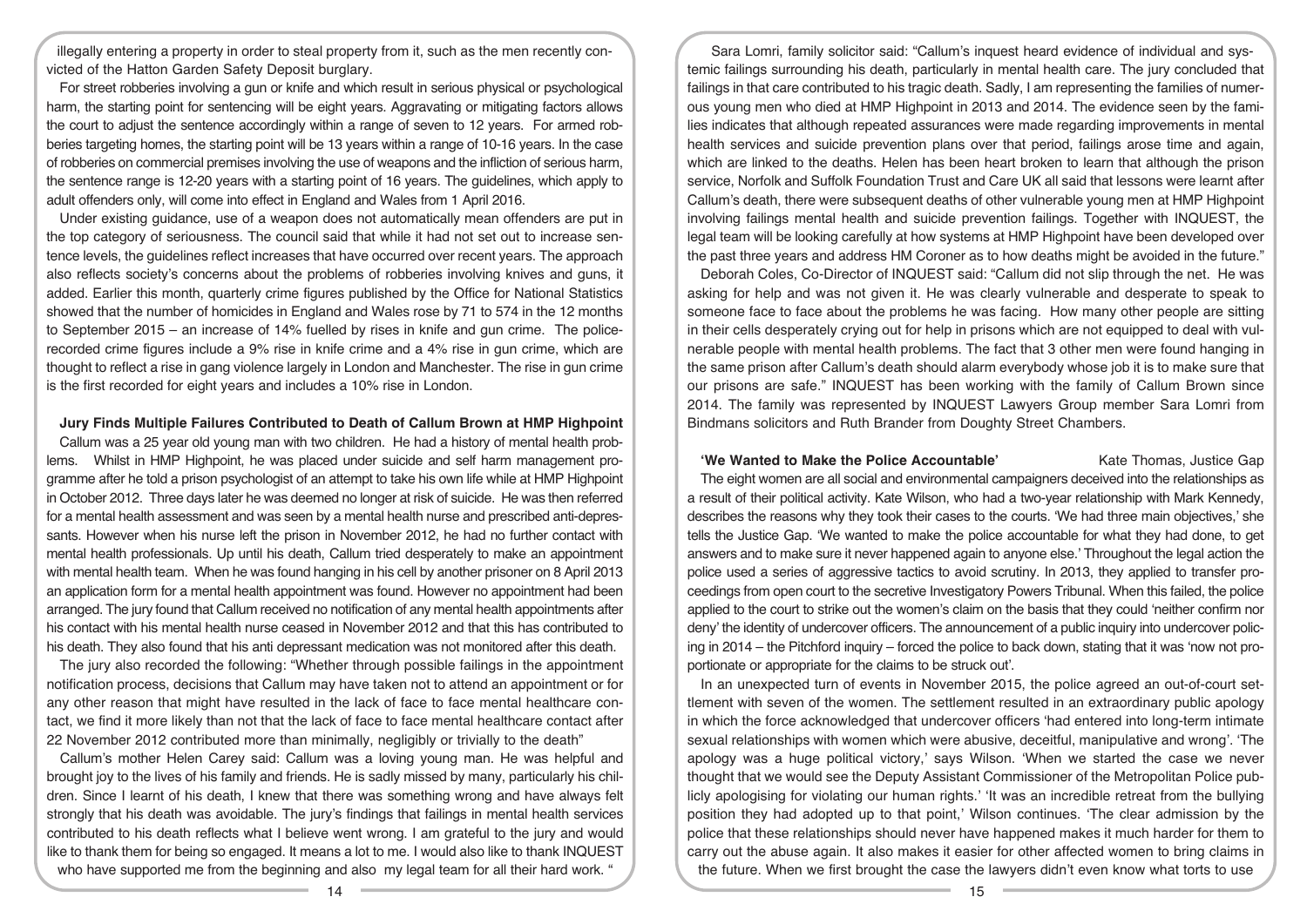illegally entering a property in order to steal property from it, such as the men recently convicted of the Hatton Garden Safety Deposit burglary.

For street robberies involving a gun or knife and which result in serious physical or psychological harm, the starting point for sentencing will be eight years. Aggravating or mitigating factors allows the court to adjust the sentence accordingly within a range of seven to 12 years. For armed robberies targeting homes, the starting point will be 13 years within a range of 10-16 years. In the case of robberies on commercial premises involving the use of weapons and the infliction of serious harm, the sentence range is 12-20 years with a starting point of 16 years. The guidelines, which apply to adult offenders only, will come into effect in England and Wales from 1 April 2016.

Under existing guidance, use of a weapon does not automatically mean offenders are put in the top category of seriousness. The council said that while it had not set out to increase sentence levels, the guidelines reflect increases that have occurred over recent years. The approach also reflects society's concerns about the problems of robberies involving knives and guns, it added. Earlier this month, quarterly crime figures published by the Office for National Statistics showed that the number of homicides in England and Wales rose by 71 to 574 in the 12 months to September 2015 – an increase of 14% fuelled by rises in knife and gun crime. The policerecorded crime figures include a 9% rise in knife crime and a 4% rise in gun crime, which are thought to reflect a rise in gang violence largely in London and Manchester. The rise in gun crime is the first recorded for eight years and includes a 10% rise in London.

#### **Jury Finds Multiple Failures Contributed to Death of Callum Brown at HMP Highpoint**

Callum was a 25 year old young man with two children. He had a history of mental health problems. Whilst in HMP Highpoint, he was placed under suicide and self harm management programme after he told a prison psychologist of an attempt to take his own life while at HMP Highpoint in October 2012. Three days later he was deemed no longer at risk of suicide. He was then referred for a mental health assessment and was seen by a mental health nurse and prescribed anti-depressants. However when his nurse left the prison in November 2012, he had no further contact with mental health professionals. Up until his death, Callum tried desperately to make an appointment with mental health team. When he was found hanging in his cell by another prisoner on 8 April 2013 an application form for a mental health appointment was found. However no appointment had been arranged. The jury found that Callum received no notification of any mental health appointments after his contact with his mental health nurse ceased in November 2012 and that this has contributed to his death. They also found that his anti depressant medication was not monitored after this death.

The jury also recorded the following: "Whether through possible failings in the appointment notification process, decisions that Callum may have taken not to attend an appointment or for any other reason that might have resulted in the lack of face to face mental healthcare contact, we find it more likely than not that the lack of face to face mental healthcare contact after 22 November 2012 contributed more than minimally, negligibly or trivially to the death"

Callum's mother Helen Carey said: Callum was a loving young man. He was helpful and brought joy to the lives of his family and friends. He is sadly missed by many, particularly his children. Since I learnt of his death, I knew that there was something wrong and have always felt strongly that his death was avoidable. The jury's findings that failings in mental health services contributed to his death reflects what I believe went wrong. I am grateful to the jury and would like to thank them for being so engaged. It means a lot to me. I would also like to thank INQUEST who have supported me from the beginning and also my legal team for all their hard work. "

Sara Lomri, family solicitor said: "Callum's inquest heard evidence of individual and systemic failings surrounding his death, particularly in mental health care. The jury concluded that failings in that care contributed to his tragic death. Sadly, I am representing the families of numerous young men who died at HMP Highpoint in 2013 and 2014. The evidence seen by the families indicates that although repeated assurances were made regarding improvements in mental health services and suicide prevention plans over that period, failings arose time and again, which are linked to the deaths. Helen has been heart broken to learn that although the prison service, Norfolk and Suffolk Foundation Trust and Care UK all said that lessons were learnt after Callum's death, there were subsequent deaths of other vulnerable young men at HMP Highpoint involving failings mental health and suicide prevention failings. Together with INQUEST, the legal team will be looking carefully at how systems at HMP Highpoint have been developed over the past three years and address HM Coroner as to how deaths might be avoided in the future."

Deborah Coles, Co-Director of INQUEST said: "Callum did not slip through the net. He was asking for help and was not given it. He was clearly vulnerable and desperate to speak to someone face to face about the problems he was facing. How many other people are sitting in their cells desperately crying out for help in prisons which are not equipped to deal with vulnerable people with mental health problems. The fact that 3 other men were found hanging in the same prison after Callum's death should alarm everybody whose job it is to make sure that our prisons are safe." INQUEST has been working with the family of Callum Brown since 2014. The family was represented by INQUEST Lawyers Group member Sara Lomri from Bindmans solicitors and Ruth Brander from Doughty Street Chambers.

**'We Wanted to Make the Police Accountable' Kate Thomas, Justice Gap** 

The eight women are all social and environmental campaigners deceived into the relationships as a result of their political activity. Kate Wilson, who had a two-year relationship with Mark Kennedy, describes the reasons why they took their cases to the courts. 'We had three main objectives,' she tells the Justice Gap. 'We wanted to make the police accountable for what they had done, to get answers and to make sure it never happened again to anyone else.' Throughout the legal action the police used a series of aggressive tactics to avoid scrutiny. In 2013, they applied to transfer proceedings from open court to the secretive Investigatory Powers Tribunal. When this failed, the police applied to the court to strike out the women's claim on the basis that they could 'neither confirm nor deny' the identity of undercover officers. The announcement of a public inquiry into undercover policing in 2014 – the Pitchford inquiry – forced the police to back down, stating that it was 'now not proportionate or appropriate for the claims to be struck out'.

In an unexpected turn of events in November 2015, the police agreed an out-of-court settlement with seven of the women. The settlement resulted in an extraordinary public apology in which the force acknowledged that undercover officers 'had entered into long-term intimate sexual relationships with women which were abusive, deceitful, manipulative and wrong'. 'The apology was a huge political victory,' says Wilson. 'When we started the case we never thought that we would see the Deputy Assistant Commissioner of the Metropolitan Police publicly apologising for violating our human rights.' 'It was an incredible retreat from the bullying position they had adopted up to that point,' Wilson continues. 'The clear admission by the police that these relationships should never have happened makes it much harder for them to carry out the abuse again. It also makes it easier for other affected women to bring claims in the future. When we first brought the case the lawyers didn't even know what torts to use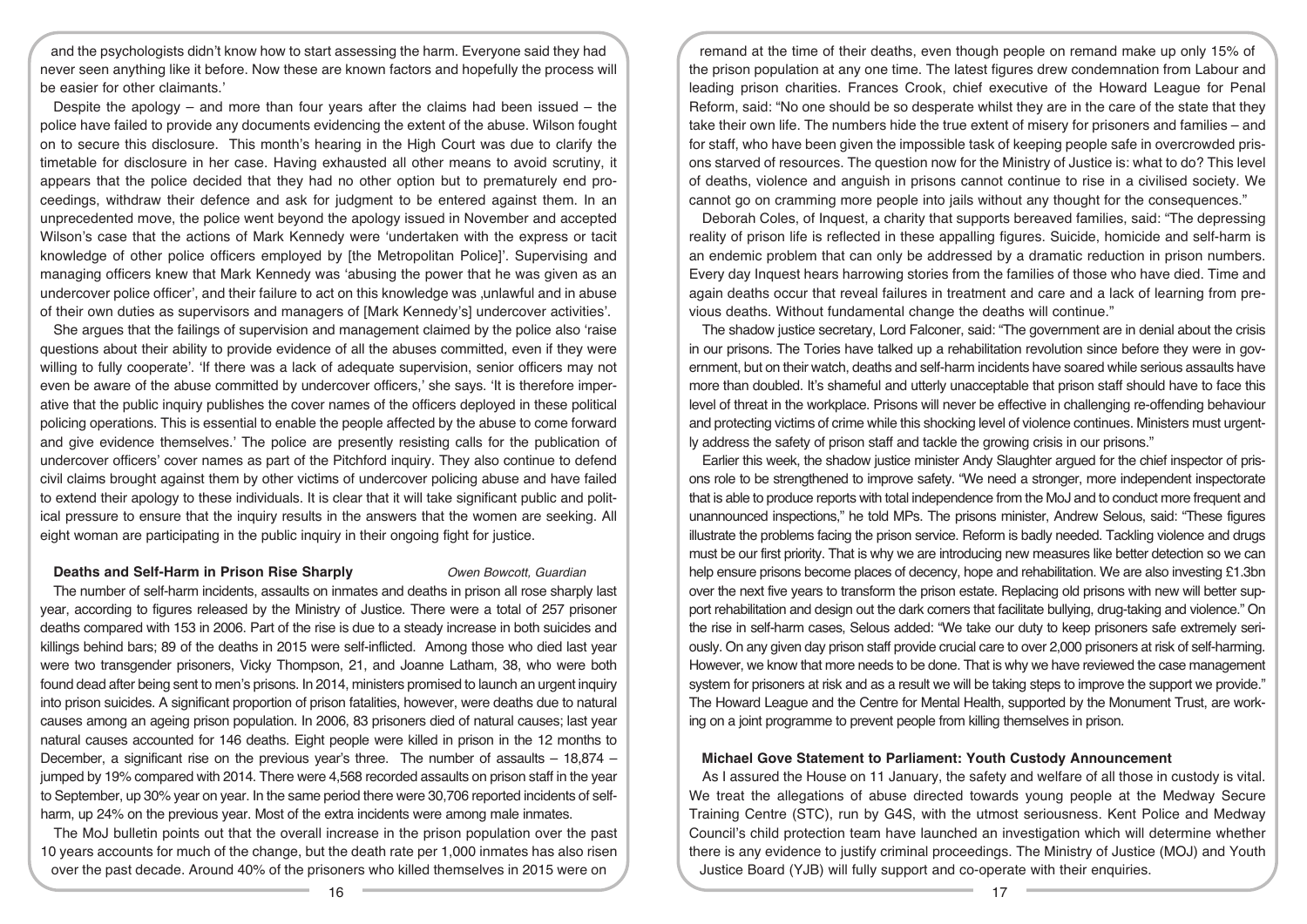and the psychologists didn't know how to start assessing the harm. Everyone said they had never seen anything like it before. Now these are known factors and hopefully the process will be easier for other claimants.'

Despite the apology – and more than four years after the claims had been issued – the police have failed to provide any documents evidencing the extent of the abuse. Wilson fought on to secure this disclosure. This month's hearing in the High Court was due to clarify the timetable for disclosure in her case. Having exhausted all other means to avoid scrutiny, it appears that the police decided that they had no other option but to prematurely end proceedings, withdraw their defence and ask for judgment to be entered against them. In an unprecedented move, the police went beyond the apology issued in November and accepted Wilson's case that the actions of Mark Kennedy were 'undertaken with the express or tacit knowledge of other police officers employed by [the Metropolitan Police]'. Supervising and managing officers knew that Mark Kennedy was 'abusing the power that he was given as an undercover police officer', and their failure to act on this knowledge was 'unlawful and in abuse of their own duties as supervisors and managers of [Mark Kennedy's] undercover activities'.

She argues that the failings of supervision and management claimed by the police also 'raise questions about their ability to provide evidence of all the abuses committed, even if they were willing to fully cooperate'. 'If there was a lack of adequate supervision, senior officers may not even be aware of the abuse committed by undercover officers,' she says. 'It is therefore imperative that the public inquiry publishes the cover names of the officers deployed in these political policing operations. This is essential to enable the people affected by the abuse to come forward and give evidence themselves.' The police are presently resisting calls for the publication of undercover officers' cover names as part of the Pitchford inquiry. They also continue to defend civil claims brought against them by other victims of undercover policing abuse and have failed to extend their apology to these individuals. It is clear that it will take significant public and political pressure to ensure that the inquiry results in the answers that the women are seeking. All eight woman are participating in the public inquiry in their ongoing fight for justice.

## **Deaths and Self-Harm in Prison Rise Sharply** *Owen Bowcott, Guardian*

The number of self-harm incidents, assaults on inmates and deaths in prison all rose sharply last year, according to figures released by the Ministry of Justice. There were a total of 257 prisoner deaths compared with 153 in 2006. Part of the rise is due to a steady increase in both suicides and killings behind bars; 89 of the deaths in 2015 were self-inflicted. Among those who died last year were two transgender prisoners, Vicky Thompson, 21, and Joanne Latham, 38, who were both found dead after being sent to men's prisons. In 2014, ministers promised to launch an urgent inquiry into prison suicides. A significant proportion of prison fatalities, however, were deaths due to natural causes among an ageing prison population. In 2006, 83 prisoners died of natural causes; last year natural causes accounted for 146 deaths. Eight people were killed in prison in the 12 months to December, a significant rise on the previous year's three. The number of assaults  $-18,874$  – jumped by 19% compared with 2014. There were 4,568 recorded assaults on prison staff in the year to September, up 30% year on year. In the same period there were 30,706 reported incidents of selfharm, up 24% on the previous year. Most of the extra incidents were among male inmates.

The MoJ bulletin points out that the overall increase in the prison population over the past 10 years accounts for much of the change, but the death rate per 1,000 inmates has also risen over the past decade. Around 40% of the prisoners who killed themselves in 2015 were on

remand at the time of their deaths, even though people on remand make up only 15% of the prison population at any one time. The latest figures drew condemnation from Labour and leading prison charities. Frances Crook, chief executive of the Howard League for Penal Reform, said: "No one should be so desperate whilst they are in the care of the state that they take their own life. The numbers hide the true extent of misery for prisoners and families – and for staff, who have been given the impossible task of keeping people safe in overcrowded prisons starved of resources. The question now for the Ministry of Justice is: what to do? This level of deaths, violence and anguish in prisons cannot continue to rise in a civilised society. We cannot go on cramming more people into jails without any thought for the consequences."

Deborah Coles, of Inquest, a charity that supports bereaved families, said: "The depressing reality of prison life is reflected in these appalling figures. Suicide, homicide and self-harm is an endemic problem that can only be addressed by a dramatic reduction in prison numbers. Every day Inquest hears harrowing stories from the families of those who have died. Time and again deaths occur that reveal failures in treatment and care and a lack of learning from previous deaths. Without fundamental change the deaths will continue."

The shadow justice secretary, Lord Falconer, said: "The government are in denial about the crisis in our prisons. The Tories have talked up a rehabilitation revolution since before they were in government, but on their watch, deaths and self-harm incidents have soared while serious assaults have more than doubled. It's shameful and utterly unacceptable that prison staff should have to face this level of threat in the workplace. Prisons will never be effective in challenging re-offending behaviour and protecting victims of crime while this shocking level of violence continues. Ministers must urgently address the safety of prison staff and tackle the growing crisis in our prisons."

Earlier this week, the shadow justice minister Andy Slaughter argued for the chief inspector of prisons role to be strengthened to improve safety. "We need a stronger, more independent inspectorate that is able to produce reports with total independence from the MoJ and to conduct more frequent and unannounced inspections," he told MPs. The prisons minister, Andrew Selous, said: "These figures illustrate the problems facing the prison service. Reform is badly needed. Tackling violence and drugs must be our first priority. That is why we are introducing new measures like better detection so we can help ensure prisons become places of decency, hope and rehabilitation. We are also investing £1.3bn over the next five years to transform the prison estate. Replacing old prisons with new will better support rehabilitation and design out the dark corners that facilitate bullying, drug-taking and violence." On the rise in self-harm cases, Selous added: "We take our duty to keep prisoners safe extremely seriously. On any given day prison staff provide crucial care to over 2,000 prisoners at risk of self-harming. However, we know that more needs to be done. That is why we have reviewed the case management system for prisoners at risk and as a result we will be taking steps to improve the support we provide." The Howard League and the Centre for Mental Health, supported by the Monument Trust, are working on a joint programme to prevent people from killing themselves in prison.

## **Michael Gove Statement to Parliament: Youth Custody Announcement**

As I assured the House on 11 January, the safety and welfare of all those in custody is vital. We treat the allegations of abuse directed towards young people at the Medway Secure Training Centre (STC), run by G4S, with the utmost seriousness. Kent Police and Medway Council's child protection team have launched an investigation which will determine whether there is any evidence to justify criminal proceedings. The Ministry of Justice (MOJ) and Youth Justice Board (YJB) will fully support and co-operate with their enquiries.